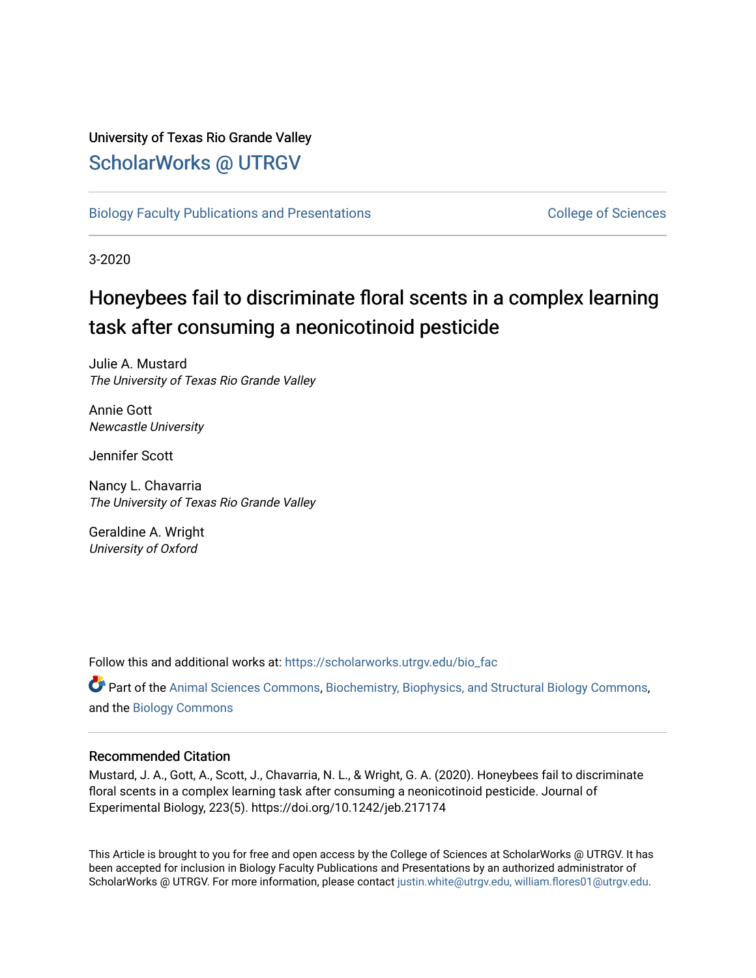## University of Texas Rio Grande Valley [ScholarWorks @ UTRGV](https://scholarworks.utrgv.edu/)

[Biology Faculty Publications and Presentations](https://scholarworks.utrgv.edu/bio_fac) College of Sciences

3-2020

# Honeybees fail to discriminate floral scents in a complex learning task after consuming a neonicotinoid pesticide

Julie A. Mustard The University of Texas Rio Grande Valley

Annie Gott Newcastle University

Jennifer Scott

Nancy L. Chavarria The University of Texas Rio Grande Valley

Geraldine A. Wright University of Oxford

Follow this and additional works at: [https://scholarworks.utrgv.edu/bio\\_fac](https://scholarworks.utrgv.edu/bio_fac?utm_source=scholarworks.utrgv.edu%2Fbio_fac%2F19&utm_medium=PDF&utm_campaign=PDFCoverPages)

**P** Part of the [Animal Sciences Commons,](http://network.bepress.com/hgg/discipline/76?utm_source=scholarworks.utrgv.edu%2Fbio_fac%2F19&utm_medium=PDF&utm_campaign=PDFCoverPages) [Biochemistry, Biophysics, and Structural Biology Commons,](http://network.bepress.com/hgg/discipline/1?utm_source=scholarworks.utrgv.edu%2Fbio_fac%2F19&utm_medium=PDF&utm_campaign=PDFCoverPages) and the [Biology Commons](http://network.bepress.com/hgg/discipline/41?utm_source=scholarworks.utrgv.edu%2Fbio_fac%2F19&utm_medium=PDF&utm_campaign=PDFCoverPages) 

## Recommended Citation

Mustard, J. A., Gott, A., Scott, J., Chavarria, N. L., & Wright, G. A. (2020). Honeybees fail to discriminate floral scents in a complex learning task after consuming a neonicotinoid pesticide. Journal of Experimental Biology, 223(5). https://doi.org/10.1242/jeb.217174

This Article is brought to you for free and open access by the College of Sciences at ScholarWorks @ UTRGV. It has been accepted for inclusion in Biology Faculty Publications and Presentations by an authorized administrator of ScholarWorks @ UTRGV. For more information, please contact [justin.white@utrgv.edu, william.flores01@utrgv.edu](mailto:justin.white@utrgv.edu,%20william.flores01@utrgv.edu).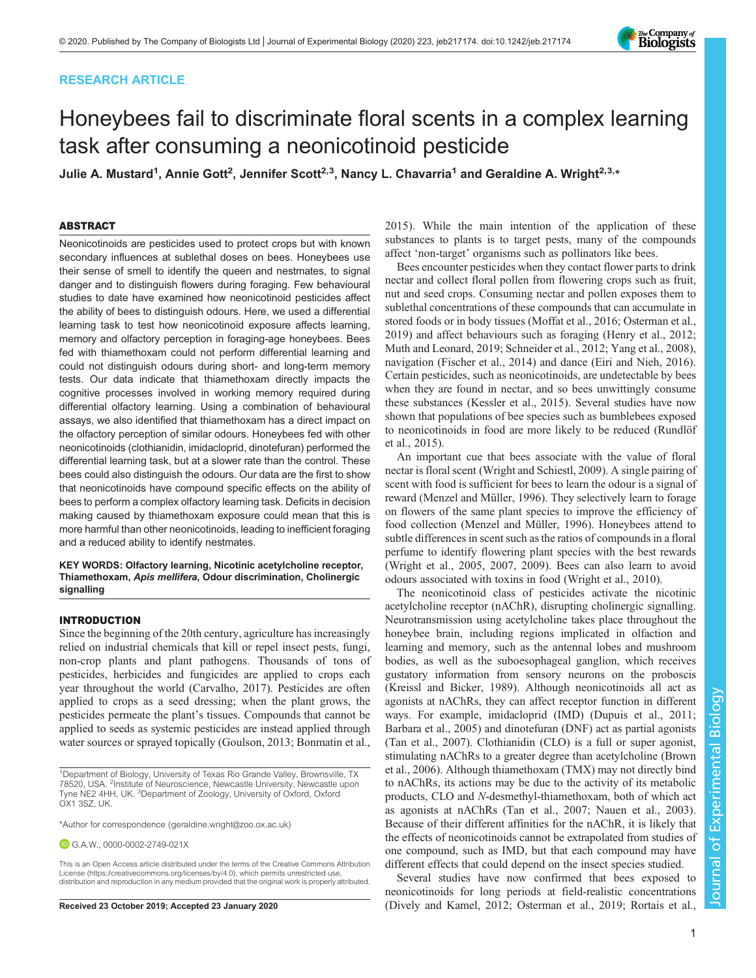## RESEARCH ARTICLE

## Honeybees fail to discriminate floral scents in a complex learning task after consuming a neonicotinoid pesticide

Julie A. Mustard<sup>1</sup>, Annie Gott<sup>2</sup>, Jennifer Scott<sup>2,3</sup>, Nancy L. Chavarria<sup>1</sup> and Geraldine A. Wright<sup>2,3,</sup>\*

## ABSTRACT

Neonicotinoids are pesticides used to protect crops but with known secondary influences at sublethal doses on bees. Honeybees use their sense of smell to identify the queen and nestmates, to signal danger and to distinguish flowers during foraging. Few behavioural studies to date have examined how neonicotinoid pesticides affect the ability of bees to distinguish odours. Here, we used a differential learning task to test how neonicotinoid exposure affects learning, memory and olfactory perception in foraging-age honeybees. Bees fed with thiamethoxam could not perform differential learning and could not distinguish odours during short- and long-term memory tests. Our data indicate that thiamethoxam directly impacts the cognitive processes involved in working memory required during differential olfactory learning. Using a combination of behavioural assays, we also identified that thiamethoxam has a direct impact on the olfactory perception of similar odours. Honeybees fed with other neonicotinoids (clothianidin, imidacloprid, dinotefuran) performed the differential learning task, but at a slower rate than the control. These bees could also distinguish the odours. Our data are the first to show that neonicotinoids have compound specific effects on the ability of bees to perform a complex olfactory learning task. Deficits in decision making caused by thiamethoxam exposure could mean that this is more harmful than other neonicotinoids, leading to inefficient foraging and a reduced ability to identify nestmates.

KEY WORDS: Olfactory learning, Nicotinic acetylcholine receptor, Thiamethoxam, Apis mellifera, Odour discrimination, Cholinergic signalling

## INTRODUCTION

Since the beginning of the 20th century, agriculture has increasingly relied on industrial chemicals that kill or repel insect pests, fungi, non-crop plants and plant pathogens. Thousands of tons of pesticides, herbicides and fungicides are applied to crops each year throughout the world [\(Carvalho, 2017\)](#page-7-0). Pesticides are often applied to crops as a seed dressing; when the plant grows, the pesticides permeate the plant's tissues. Compounds that cannot be applied to seeds as systemic pesticides are instead applied through water sources or sprayed topically ([Goulson, 2013;](#page-8-0) [Bonmatin et al.,](#page-7-0)

G.A.W., [0000-0002-2749-021X](http://orcid.org/0000-0002-2749-021X)

This is an Open Access article distributed under the terms of the Creative Commons Attribution License [\(https://creativecommons.org/licenses/by/4.0\)](https://creativecommons.org/licenses/by/4.0), which permits unrestricted use, distribution and reproduction in any medium provided that the original work is properly attributed.

[2015\)](#page-7-0). While the main intention of the application of these substances to plants is to target pests, many of the compounds affect 'non-target' organisms such as pollinators like bees.

Bees encounter pesticides when they contact flower parts to drink nectar and collect floral pollen from flowering crops such as fruit, nut and seed crops. Consuming nectar and pollen exposes them to sublethal concentrations of these compounds that can accumulate in stored foods or in body tissues ([Moffat et al., 2016](#page-8-0); [Osterman et al.,](#page-8-0) [2019\)](#page-8-0) and affect behaviours such as foraging ([Henry et al., 2012](#page-8-0); [Muth and Leonard, 2019](#page-8-0); [Schneider et al., 2012](#page-8-0); [Yang et al., 2008\)](#page-8-0), navigation ([Fischer et al., 2014](#page-7-0)) and dance [\(Eiri and Nieh, 2016\)](#page-7-0). Certain pesticides, such as neonicotinoids, are undetectable by bees when they are found in nectar, and so bees unwittingly consume these substances ([Kessler et al., 2015](#page-8-0)). Several studies have now shown that populations of bee species such as bumblebees exposed to neonicotinoids in food are more likely to be reduced ([Rundlöf](#page-8-0) [et al., 2015\)](#page-8-0).

An important cue that bees associate with the value of floral nectar is floral scent [\(Wright and Schiestl, 2009\)](#page-8-0). A single pairing of scent with food is sufficient for bees to learn the odour is a signal of reward ([Menzel and Müller, 1996](#page-8-0)). They selectively learn to forage on flowers of the same plant species to improve the efficiency of food collection ([Menzel and Müller, 1996](#page-8-0)). Honeybees attend to subtle differences in scent such as the ratios of compounds in a floral perfume to identify flowering plant species with the best rewards [\(Wright et al., 2005, 2007](#page-8-0), [2009](#page-8-0)). Bees can also learn to avoid odours associated with toxins in food ([Wright et al., 2010](#page-8-0)).

The neonicotinoid class of pesticides activate the nicotinic acetylcholine receptor (nAChR), disrupting cholinergic signalling. Neurotransmission using acetylcholine takes place throughout the honeybee brain, including regions implicated in olfaction and learning and memory, such as the antennal lobes and mushroom bodies, as well as the suboesophageal ganglion, which receives gustatory information from sensory neurons on the proboscis [\(Kreissl and Bicker, 1989\)](#page-8-0). Although neonicotinoids all act as agonists at nAChRs, they can affect receptor function in different ways. For example, imidacloprid (IMD) [\(Dupuis et al., 2011](#page-7-0); [Barbara et al., 2005\)](#page-7-0) and dinotefuran (DNF) act as partial agonists [\(Tan et al., 2007\)](#page-8-0). Clothianidin (CLO) is a full or super agonist, stimulating nAChRs to a greater degree than acetylcholine ([Brown](#page-7-0) [et al., 2006](#page-7-0)). Although thiamethoxam (TMX) may not directly bind to nAChRs, its actions may be due to the activity of its metabolic products, CLO and N-desmethyl-thiamethoxam, both of which act as agonists at nAChRs ([Tan et al., 2007; Nauen et al., 2003\)](#page-8-0). Because of their different affinities for the nAChR, it is likely that the effects of neonicotinoids cannot be extrapolated from studies of one compound, such as IMD, but that each compound may have different effects that could depend on the insect species studied.

Several studies have now confirmed that bees exposed to neonicotinoids for long periods at field-realistic concentrations Received 23 October 2019; Accepted 23 January 2020 [\(Dively and Kamel, 2012](#page-7-0); [Osterman et al., 2019](#page-8-0); [Rortais et al.,](#page-8-0)



<sup>&</sup>lt;sup>1</sup>Department of Biology, University of Texas Rio Grande Valley, Brownsville, TX 78520, USA. <sup>2</sup>Institute of Neuroscience, Newcastle University, Newcastle upon Tyne NE2 4HH, UK. <sup>3</sup>Department of Zoology, University of Oxford, Oxford OX1 3SZ, UK.

<sup>\*</sup>Author for correspondence [\(geraldine.wright@zoo.ox.ac.uk\)](mailto:geraldine.wright@zoo.ox.ac.uk)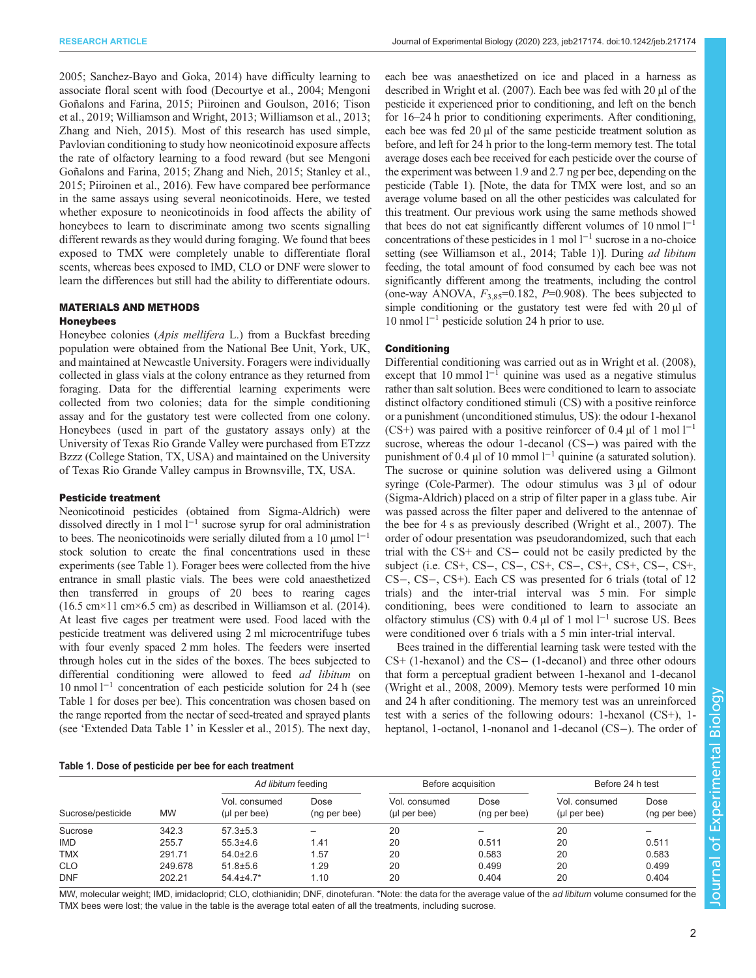<span id="page-2-0"></span>RESEARCH ARTICLE **ARTICLE** ARTICLE ARTICLE **Journal of Experimental Biology (2020) 223, jeb217174. doi:10.1242/jeb.217174** 

[2005](#page-8-0); [Sanchez-Bayo and Goka, 2014\)](#page-8-0) have difficulty learning to associate floral scent with food [\(Decourtye et al., 2004](#page-7-0); [Mengoni](#page-8-0) [Goñalons and Farina, 2015; Piiroinen and Goulson, 2016](#page-8-0); [Tison](#page-8-0) [et al., 2019](#page-8-0); [Williamson and Wright, 2013; Williamson et al., 2013](#page-8-0); [Zhang and Nieh, 2015\)](#page-8-0). Most of this research has used simple, Pavlovian conditioning to study how neonicotinoid exposure affects the rate of olfactory learning to a food reward (but see [Mengoni](#page-8-0) [Goñalons and Farina, 2015; Zhang and Nieh, 2015; Stanley et al.,](#page-8-0) [2015](#page-8-0); [Piiroinen et al., 2016](#page-8-0)). Few have compared bee performance in the same assays using several neonicotinoids. Here, we tested whether exposure to neonicotinoids in food affects the ability of honeybees to learn to discriminate among two scents signalling different rewards as they would during foraging. We found that bees exposed to TMX were completely unable to differentiate floral scents, whereas bees exposed to IMD, CLO or DNF were slower to learn the differences but still had the ability to differentiate odours.

## MATERIALS AND METHODS

#### Honeybees

Honeybee colonies (*Apis mellifera* L.) from a Buckfast breeding population were obtained from the National Bee Unit, York, UK, and maintained at Newcastle University. Foragers were individually collected in glass vials at the colony entrance as they returned from foraging. Data for the differential learning experiments were collected from two colonies; data for the simple conditioning assay and for the gustatory test were collected from one colony. Honeybees (used in part of the gustatory assays only) at the University of Texas Rio Grande Valley were purchased from ETzzz Bzzz (College Station, TX, USA) and maintained on the University of Texas Rio Grande Valley campus in Brownsville, TX, USA.

#### Pesticide treatment

Neonicotinoid pesticides (obtained from Sigma-Aldrich) were dissolved directly in 1 mol  $l^{-1}$  sucrose syrup for oral administration to bees. The neonicotinoids were serially diluted from a 10  $\mu$ mol l<sup>-1</sup> stock solution to create the final concentrations used in these experiments (see Table 1). Forager bees were collected from the hive entrance in small plastic vials. The bees were cold anaesthetized then transferred in groups of 20 bees to rearing cages  $(16.5 \text{ cm} \times 11 \text{ cm} \times 6.5 \text{ cm})$  as described in Williamson et al.  $(2014)$ . At least five cages per treatment were used. Food laced with the pesticide treatment was delivered using 2 ml microcentrifuge tubes with four evenly spaced 2 mm holes. The feeders were inserted through holes cut in the sides of the boxes. The bees subjected to differential conditioning were allowed to feed *ad libitum* on 10 nmol l−<sup>1</sup> concentration of each pesticide solution for 24 h (see Table 1 for doses per bee). This concentration was chosen based on the range reported from the nectar of seed-treated and sprayed plants (see 'Extended Data Table 1' in [Kessler et al., 2015](#page-8-0)). The next day,

each bee was anaesthetized on ice and placed in a harness as described in [Wright et al. \(2007\)](#page-8-0). Each bee was fed with 20 µl of the pesticide it experienced prior to conditioning, and left on the bench for 16–24 h prior to conditioning experiments. After conditioning, each bee was fed  $20 \mu l$  of the same pesticide treatment solution as before, and left for 24 h prior to the long-term memory test. The total average doses each bee received for each pesticide over the course of the experiment was between 1.9 and 2.7 ng per bee, depending on the pesticide (Table 1). [Note, the data for TMX were lost, and so an average volume based on all the other pesticides was calculated for this treatment. Our previous work using the same methods showed that bees do not eat significantly different volumes of 10 nmol l−<sup>1</sup> concentrations of these pesticides in 1 mol  $l^{-1}$  sucrose in a no-choice setting (see [Williamson et al., 2014](#page-8-0); Table 1)]. During ad libitum feeding, the total amount of food consumed by each bee was not significantly different among the treatments, including the control (one-way ANOVA,  $F_{3,85}$ =0.182, P=0.908). The bees subjected to simple conditioning or the gustatory test were fed with 20 µl of 10 nmol l−<sup>1</sup> pesticide solution 24 h prior to use.

## **Conditioning**

Differential conditioning was carried out as in [Wright et al. \(2008\),](#page-8-0) except that 10 mmol  $l^{-1}$  quinine was used as a negative stimulus rather than salt solution. Bees were conditioned to learn to associate distinct olfactory conditioned stimuli (CS) with a positive reinforce or a punishment (unconditioned stimulus, US): the odour 1-hexanol (CS+) was paired with a positive reinforcer of 0.4  $\mu$ l of 1 mol l<sup>-1</sup> sucrose, whereas the odour 1-decanol (CS−) was paired with the punishment of 0.4 μl of 10 mmol  $l^{-1}$  quinine (a saturated solution). The sucrose or quinine solution was delivered using a Gilmont syringe (Cole-Parmer). The odour stimulus was  $3 \mu$ l of odour (Sigma-Aldrich) placed on a strip of filter paper in a glass tube. Air was passed across the filter paper and delivered to the antennae of the bee for 4 s as previously described [\(Wright et al., 2007\)](#page-8-0). The order of odour presentation was pseudorandomized, such that each trial with the CS+ and CS− could not be easily predicted by the subject (i.e. CS+, CS−, CS−, CS+, CS−, CS+, CS+, CS−, CS+, CS−, CS−, CS+). Each CS was presented for 6 trials (total of 12 trials) and the inter-trial interval was 5 min. For simple conditioning, bees were conditioned to learn to associate an olfactory stimulus (CS) with 0.4 µl of 1 mol  $l^{-1}$  sucrose US. Bees were conditioned over 6 trials with a 5 min inter-trial interval.

Bees trained in the differential learning task were tested with the CS+ (1-hexanol) and the CS− (1-decanol) and three other odours that form a perceptual gradient between 1-hexanol and 1-decanol [\(Wright et al., 2008](#page-8-0), [2009\)](#page-8-0). Memory tests were performed 10 min and 24 h after conditioning. The memory test was an unreinforced test with a series of the following odours: 1-hexanol (CS+), 1 heptanol, 1-octanol, 1-nonanol and 1-decanol (CS−). The order of

| Sucrose/pesticide |           | Ad libitum feeding              |                      | Before acquisition              |                      | Before 24 h test                |                      |  |
|-------------------|-----------|---------------------------------|----------------------|---------------------------------|----------------------|---------------------------------|----------------------|--|
|                   | <b>MW</b> | Vol. consumed<br>$(µl$ per bee) | Dose<br>(ng per bee) | Vol. consumed<br>$(µl$ per bee) | Dose<br>(ng per bee) | Vol. consumed<br>$(µl$ per bee) | Dose<br>(ng per bee) |  |
| Sucrose           | 342.3     | $57.3 \pm 5.3$                  |                      | 20                              |                      | 20                              |                      |  |
| <b>IMD</b>        | 255.7     | $55.3 \pm 4.6$                  | 1.41                 | 20                              | 0.511                | 20                              | 0.511                |  |
| <b>TMX</b>        | 291.71    | $54.0 \pm 2.6$                  | 1.57                 | 20                              | 0.583                | 20                              | 0.583                |  |
| <b>CLO</b>        | 249.678   | $51.8 \pm 5.6$                  | 1.29                 | 20                              | 0.499                | 20                              | 0.499                |  |
| <b>DNF</b>        | 202.21    | $54.4 \pm 4.7$ *                | 1.10                 | 20                              | 0.404                | 20                              | 0.404                |  |

MW, molecular weight; IMD, imidacloprid; CLO, clothianidin; DNF, dinotefuran. \*Note: the data for the average value of the ad libitum volume consumed for the TMX bees were lost; the value in the table is the average total eaten of all the treatments, including sucrose.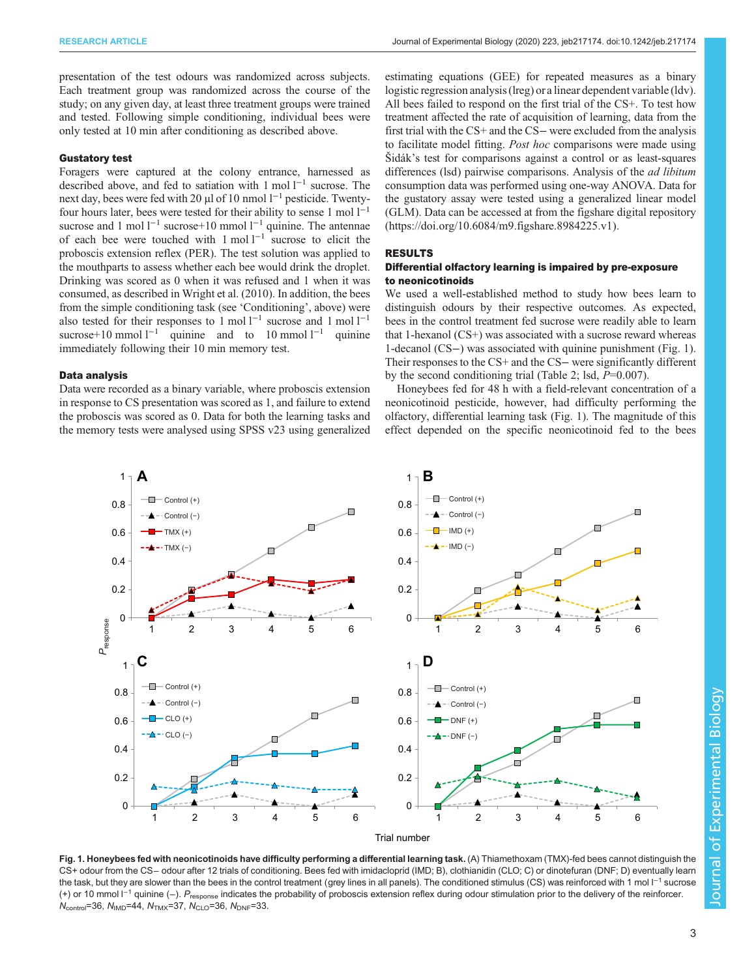<span id="page-3-0"></span>presentation of the test odours was randomized across subjects. Each treatment group was randomized across the course of the study; on any given day, at least three treatment groups were trained and tested. Following simple conditioning, individual bees were only tested at 10 min after conditioning as described above.

#### Gustatory test

Foragers were captured at the colony entrance, harnessed as described above, and fed to satiation with 1 mol l−<sup>1</sup> sucrose. The next day, bees were fed with 20 μl of 10 nmol l<sup>-1</sup> pesticide. Twentyfour hours later, bees were tested for their ability to sense 1 mol  $1^{-1}$ sucrose and 1 mol l<sup>−1</sup> sucrose+10 mmol l<sup>−1</sup> quinine. The antennae of each bee were touched with 1 mol l−<sup>1</sup> sucrose to elicit the proboscis extension reflex (PER). The test solution was applied to the mouthparts to assess whether each bee would drink the droplet. Drinking was scored as 0 when it was refused and 1 when it was consumed, as described in [Wright et al. \(2010\).](#page-8-0) In addition, the bees from the simple conditioning task (see 'Conditioning', above) were also tested for their responses to 1 mol  $l^{-1}$  sucrose and 1 mol  $l^{-1}$ sucrose+10 mmol  $l^{-1}$  quinine and to 10 mmol  $l^{-1}$  quinine immediately following their 10 min memory test.

#### Data analysis

Data were recorded as a binary variable, where proboscis extension in response to CS presentation was scored as 1, and failure to extend the proboscis was scored as 0. Data for both the learning tasks and the memory tests were analysed using SPSS v23 using generalized estimating equations (GEE) for repeated measures as a binary logistic regression analysis (lreg) or a linear dependent variable (ldv). All bees failed to respond on the first trial of the CS+. To test how treatment affected the rate of acquisition of learning, data from the first trial with the CS+ and the CS− were excluded from the analysis to facilitate model fitting. Post hoc comparisons were made using Šidák's test for comparisons against a control or as least-squares differences (lsd) pairwise comparisons. Analysis of the *ad libitum* consumption data was performed using one-way ANOVA. Data for the gustatory assay were tested using a generalized linear model (GLM). Data can be accessed at from the figshare digital repository [\(https://doi.org/10.6084/m9.figshare.8984225.v1](https://doi.org/10.6084/m9.figshare.8984225.v1)).

#### RESULTS

## Differential olfactory learning is impaired by pre-exposure to neonicotinoids

We used a well-established method to study how bees learn to distinguish odours by their respective outcomes. As expected, bees in the control treatment fed sucrose were readily able to learn that 1-hexanol (CS+) was associated with a sucrose reward whereas 1-decanol (CS−) was associated with quinine punishment (Fig. 1). Their responses to the CS+ and the CS− were significantly different by the second conditioning trial [\(Table 2](#page-4-0); lsd,  $P=0.007$ ).

Honeybees fed for 48 h with a field-relevant concentration of a neonicotinoid pesticide, however, had difficulty performing the olfactory, differential learning task (Fig. 1). The magnitude of this effect depended on the specific neonicotinoid fed to the bees



Fig. 1. Honeybees fed with neonicotinoids have difficulty performing a differential learning task. (A) Thiamethoxam (TMX)-fed bees cannot distinguish the CS+ odour from the CS− odour after 12 trials of conditioning. Bees fed with imidacloprid (IMD; B), clothianidin (CLO; C) or dinotefuran (DNF; D) eventually learn the task, but they are slower than the bees in the control treatment (grey lines in all panels). The conditioned stimulus (CS) was reinforced with 1 mol  $1^{-1}$  sucrose (+) or 10 mmol l<sup>−1</sup> quinine (-). P<sub>response</sub> indicates the probability of proboscis extension reflex during odour stimulation prior to the delivery of the reinforcer.  $N_{\text{control}}$ =36,  $N_{\text{IMD}}$ =44,  $N_{\text{TMX}}$ =37,  $N_{\text{CLO}}$ =36,  $N_{\text{DNF}}$ =33.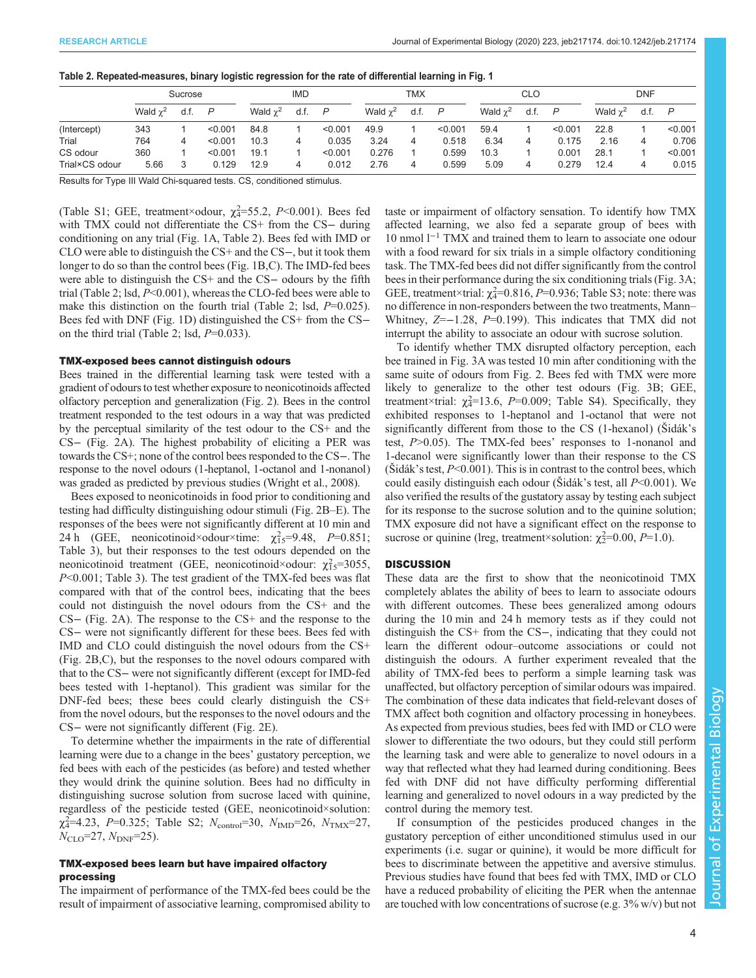|                | Sucrose         |      | <b>IMD</b> |               | TMX  |         | <b>CLO</b>      |      |         | <b>DNF</b>    |      |         |                 |      |         |
|----------------|-----------------|------|------------|---------------|------|---------|-----------------|------|---------|---------------|------|---------|-----------------|------|---------|
|                | Wald $\gamma^2$ | d.f. | P          | Wald $\chi^2$ | d.f. | P       | Wald $\gamma^2$ | d.f. | P       | Wald $\chi^2$ | d.f. | P       | Wald $\gamma^2$ | d.f. | P       |
| (Intercept)    | 343             |      | < 0.001    | 84.8          |      | < 0.001 | 49.9            |      | < 0.001 | 59.4          |      | < 0.001 | 22.8            |      | < 0.001 |
| Trial          | 764             | 4    | < 0.001    | 10.3          | 4    | 0.035   | 3.24            | 4    | 0.518   | 6.34          | 4    | 0.175   | 2.16            | 4    | 0.706   |
| CS odour       | 360             |      | < 0.001    | 19.1          |      | < 0.001 | 0.276           |      | 0.599   | 10.3          |      | 0.001   | 28.1            |      | < 0.001 |
| Trial×CS odour | 5.66            |      | 0.129      | 12.9          | 4    | 0.012   | 2.76            | 4    | 0.599   | 5.09          |      | 0.279   | 12.4            | 4    | 0.015   |

<span id="page-4-0"></span>

| Table 2. Repeated-measures, binary logistic regression for the rate of differential learning in Fig. 1 |  |  |  |  |
|--------------------------------------------------------------------------------------------------------|--|--|--|--|
|                                                                                                        |  |  |  |  |

Results for Type III Wald Chi-squared tests. CS, conditioned stimulus.

[\(Table S1](http://jeb.biologists.org/lookup/doi/10.1242/jeb.217174.supplemental); GEE, treatment×odour,  $\chi_4^2$ =55.2, P<0.001). Bees fed with TMX could not differentiate the CS+ from the CS- during conditioning on any trial ([Fig. 1A](#page-3-0), Table 2). Bees fed with IMD or CLO were able to distinguish the CS+ and the CS−, but it took them longer to do so than the control bees [\(Fig. 1B](#page-3-0),C). The IMD-fed bees were able to distinguish the CS+ and the CS- odours by the fifth trial (Table 2; lsd, P<0.001), whereas the CLO-fed bees were able to make this distinction on the fourth trial (Table 2; lsd,  $P=0.025$ ). Bees fed with DNF ([Fig. 1](#page-3-0)D) distinguished the CS+ from the CS− on the third trial (Table 2; lsd,  $P=0.033$ ).

#### TMX-exposed bees cannot distinguish odours

Bees trained in the differential learning task were tested with a gradient of odours to test whether exposure to neonicotinoids affected olfactory perception and generalization ([Fig. 2](#page-5-0)). Bees in the control treatment responded to the test odours in a way that was predicted by the perceptual similarity of the test odour to the CS+ and the CS− [\(Fig. 2](#page-5-0)A). The highest probability of eliciting a PER was towards the CS+; none of the control bees responded to the CS−. The response to the novel odours (1-heptanol, 1-octanol and 1-nonanol) was graded as predicted by previous studies [\(Wright et al., 2008\)](#page-8-0).

Bees exposed to neonicotinoids in food prior to conditioning and testing had difficulty distinguishing odour stimuli [\(Fig. 2B](#page-5-0)–E). The responses of the bees were not significantly different at 10 min and 24 h (GEE, neonicotinoid×odour×time:  $\chi^2_{15} = 9.48$ ,  $P = 0.851$ ; [Table 3\)](#page-5-0), but their responses to the test odours depended on the neonicotinoid treatment (GEE, neonicotinoid×odour:  $\chi^2_{15}$ =3055, P<0.001; [Table 3](#page-5-0)). The test gradient of the TMX-fed bees was flat compared with that of the control bees, indicating that the bees could not distinguish the novel odours from the CS+ and the CS− [\(Fig. 2](#page-5-0)A). The response to the CS+ and the response to the CS− were not significantly different for these bees. Bees fed with IMD and CLO could distinguish the novel odours from the CS+ [\(Fig. 2B](#page-5-0),C), but the responses to the novel odours compared with that to the CS− were not significantly different (except for IMD-fed bees tested with 1-heptanol). This gradient was similar for the DNF-fed bees; these bees could clearly distinguish the CS+ from the novel odours, but the responses to the novel odours and the CS− were not significantly different ([Fig. 2](#page-5-0)E).

To determine whether the impairments in the rate of differential learning were due to a change in the bees' gustatory perception, we fed bees with each of the pesticides (as before) and tested whether they would drink the quinine solution. Bees had no difficulty in distinguishing sucrose solution from sucrose laced with quinine, regardless of the pesticide tested (GEE, neonicotinoid×solution:  $\chi_{4}^{2}=4.23, P=0.325$ ; [Table S2](http://jeb.biologists.org/lookup/doi/10.1242/jeb.217174.supplemental);  $N_{\text{control}}=30, N_{\text{IMD}}=26, N_{\text{TMX}}=27$ ,  $N_{\text{CLO}}$ =27,  $N_{\text{DNF}}$ =25).

## TMX-exposed bees learn but have impaired olfactory processing

The impairment of performance of the TMX-fed bees could be the result of impairment of associative learning, compromised ability to taste or impairment of olfactory sensation. To identify how TMX affected learning, we also fed a separate group of bees with 10 nmol l−<sup>1</sup> TMX and trained them to learn to associate one odour with a food reward for six trials in a simple olfactory conditioning task. The TMX-fed bees did not differ significantly from the control bees in their performance during the six conditioning trials [\(Fig. 3A](#page-6-0); GEE, treatment×trial:  $\chi^2$ =0.816, P=0.936; [Table S3](http://jeb.biologists.org/lookup/doi/10.1242/jeb.217174.supplemental); note: there was no difference in non-responders between the two treatments, Mann– Whitney, Z=−1.28, P=0.199). This indicates that TMX did not interrupt the ability to associate an odour with sucrose solution.

To identify whether TMX disrupted olfactory perception, each bee trained in [Fig. 3A](#page-6-0) was tested 10 min after conditioning with the same suite of odours from [Fig. 2.](#page-5-0) Bees fed with TMX were more likely to generalize to the other test odours [\(Fig. 3B](#page-6-0); GEE, treatment×trial:  $\chi^2$ =13.6, P=0.009; [Table S4\)](http://jeb.biologists.org/lookup/doi/10.1242/jeb.217174.supplemental). Specifically, they exhibited responses to 1-heptanol and 1-octanol that were not significantly different from those to the CS (1-hexanol) (Šidák's test, P>0.05). The TMX-fed bees' responses to 1-nonanol and 1-decanol were significantly lower than their response to the CS  $(\text{Sidák's test}, P<0.001)$ . This is in contrast to the control bees, which could easily distinguish each odour (Šidák's test, all  $P<0.001$ ). We also verified the results of the gustatory assay by testing each subject for its response to the sucrose solution and to the quinine solution; TMX exposure did not have a significant effect on the response to sucrose or quinine (lreg, treatment×solution:  $\chi^2$ =0.00, P=1.0).

#### **DISCUSSION**

These data are the first to show that the neonicotinoid TMX completely ablates the ability of bees to learn to associate odours with different outcomes. These bees generalized among odours during the 10 min and 24 h memory tests as if they could not distinguish the CS+ from the CS−, indicating that they could not learn the different odour–outcome associations or could not distinguish the odours. A further experiment revealed that the ability of TMX-fed bees to perform a simple learning task was unaffected, but olfactory perception of similar odours was impaired. The combination of these data indicates that field-relevant doses of TMX affect both cognition and olfactory processing in honeybees. As expected from previous studies, bees fed with IMD or CLO were slower to differentiate the two odours, but they could still perform the learning task and were able to generalize to novel odours in a way that reflected what they had learned during conditioning. Bees fed with DNF did not have difficulty performing differential learning and generalized to novel odours in a way predicted by the control during the memory test.

If consumption of the pesticides produced changes in the gustatory perception of either unconditioned stimulus used in our experiments (i.e. sugar or quinine), it would be more difficult for bees to discriminate between the appetitive and aversive stimulus. Previous studies have found that bees fed with TMX, IMD or CLO have a reduced probability of eliciting the PER when the antennae are touched with low concentrations of sucrose (e.g. 3% w/v) but not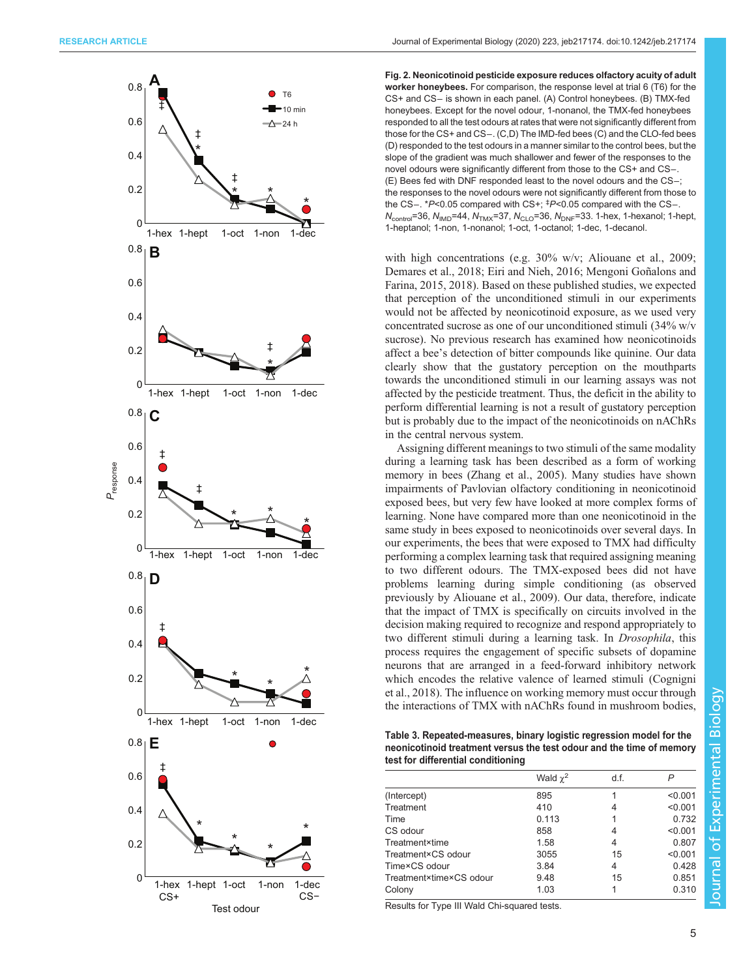<span id="page-5-0"></span>

Fig. 2. Neonicotinoid pesticide exposure reduces olfactory acuity of adult worker honeybees. For comparison, the response level at trial 6 (T6) for the CS+ and CS− is shown in each panel. (A) Control honeybees. (B) TMX-fed honeybees. Except for the novel odour, 1-nonanol, the TMX-fed honeybees responded to all the test odours at rates that were not significantly different from those for the CS+ and CS−. (C,D) The IMD-fed bees (C) and the CLO-fed bees (D) responded to the test odours in a manner similar to the control bees, but the slope of the gradient was much shallower and fewer of the responses to the novel odours were significantly different from those to the CS+ and CS−. (E) Bees fed with DNF responded least to the novel odours and the CS−; the responses to the novel odours were not significantly different from those to the CS−. \*P<0.05 compared with CS+; ‡ P<0.05 compared with the CS−.  $N_{\text{control}}$ =36,  $N_{\text{IMD}}$ =44,  $N_{\text{TMX}}$ =37,  $N_{\text{CLO}}$ =36,  $N_{\text{DNF}}$ =33. 1-hex, 1-hexanol; 1-hept, 1-heptanol; 1-non, 1-nonanol; 1-oct, 1-octanol; 1-dec, 1-decanol.

with high concentrations (e.g. 30% w/v; [Aliouane et al., 2009](#page-7-0); [Demares et al., 2018; Eiri and Nieh, 2016;](#page-7-0) [Mengoni Goñalons and](#page-8-0) [Farina, 2015](#page-8-0), [2018\)](#page-8-0). Based on these published studies, we expected that perception of the unconditioned stimuli in our experiments would not be affected by neonicotinoid exposure, as we used very concentrated sucrose as one of our unconditioned stimuli (34% w/v sucrose). No previous research has examined how neonicotinoids affect a bee's detection of bitter compounds like quinine. Our data clearly show that the gustatory perception on the mouthparts towards the unconditioned stimuli in our learning assays was not affected by the pesticide treatment. Thus, the deficit in the ability to perform differential learning is not a result of gustatory perception but is probably due to the impact of the neonicotinoids on nAChRs in the central nervous system.

Assigning different meanings to two stimuli of the same modality during a learning task has been described as a form of working memory in bees ([Zhang et al., 2005\)](#page-8-0). Many studies have shown impairments of Pavlovian olfactory conditioning in neonicotinoid exposed bees, but very few have looked at more complex forms of learning. None have compared more than one neonicotinoid in the same study in bees exposed to neonicotinoids over several days. In our experiments, the bees that were exposed to TMX had difficulty performing a complex learning task that required assigning meaning to two different odours. The TMX-exposed bees did not have problems learning during simple conditioning (as observed previously by [Aliouane et al., 2009](#page-7-0)). Our data, therefore, indicate that the impact of TMX is specifically on circuits involved in the decision making required to recognize and respond appropriately to two different stimuli during a learning task. In Drosophila, this process requires the engagement of specific subsets of dopamine neurons that are arranged in a feed-forward inhibitory network which encodes the relative valence of learned stimuli ([Cognigni](#page-7-0) [et al., 2018](#page-7-0)). The influence on working memory must occur through the interactions of TMX with nAChRs found in mushroom bodies,

Table 3. Repeated-measures, binary logistic regression model for the neonicotinoid treatment versus the test odour and the time of memory test for differential conditioning

|                         | Wald $\chi^2$ | d.f. |         |
|-------------------------|---------------|------|---------|
| (Intercept)             | 895           |      | < 0.001 |
| Treatment               | 410           | 4    | < 0.001 |
| Time                    | 0.113         |      | 0.732   |
| CS odour                | 858           | 4    | < 0.001 |
| Treatment×time          | 1.58          | 4    | 0.807   |
| Treatment×CS odour      | 3055          | 15   | < 0.001 |
| Time×CS odour           | 3.84          | 4    | 0.428   |
| Treatment×time×CS odour | 9.48          | 15   | 0.851   |
| Colony                  | 1.03          |      | 0.310   |
|                         |               |      |         |

Results for Type III Wald Chi-squared tests.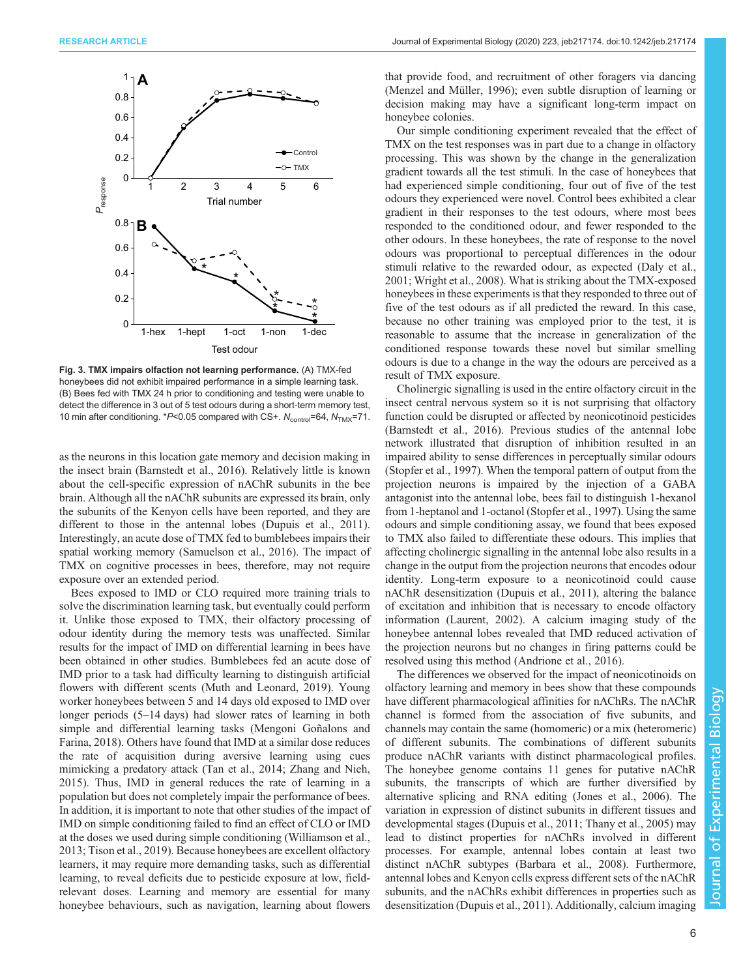<span id="page-6-0"></span>

Fig. 3. TMX impairs olfaction not learning performance. (A) TMX-fed honeybees did not exhibit impaired performance in a simple learning task. (B) Bees fed with TMX 24 h prior to conditioning and testing were unable to detect the difference in 3 out of 5 test odours during a short-term memory test, 10 min after conditioning. \*  $P$ <0.05 compared with CS+.  $N_{\text{control}}$ =64,  $N_{\text{TMX}}$ =71.

as the neurons in this location gate memory and decision making in the insect brain ([Barnstedt et al., 2016](#page-7-0)). Relatively little is known about the cell-specific expression of nAChR subunits in the bee brain. Although all the nAChR subunits are expressed its brain, only the subunits of the Kenyon cells have been reported, and they are different to those in the antennal lobes [\(Dupuis et al., 2011\)](#page-7-0). Interestingly, an acute dose of TMX fed to bumblebees impairs their spatial working memory [\(Samuelson et al., 2016\)](#page-8-0). The impact of TMX on cognitive processes in bees, therefore, may not require exposure over an extended period.

Bees exposed to IMD or CLO required more training trials to solve the discrimination learning task, but eventually could perform it. Unlike those exposed to TMX, their olfactory processing of odour identity during the memory tests was unaffected. Similar results for the impact of IMD on differential learning in bees have been obtained in other studies. Bumblebees fed an acute dose of IMD prior to a task had difficulty learning to distinguish artificial flowers with different scents [\(Muth and Leonard, 2019\)](#page-8-0). Young worker honeybees between 5 and 14 days old exposed to IMD over longer periods (5–14 days) had slower rates of learning in both simple and differential learning tasks ([Mengoni Goñalons and](#page-8-0) [Farina, 2018](#page-8-0)). Others have found that IMD at a similar dose reduces the rate of acquisition during aversive learning using cues mimicking a predatory attack ([Tan et al., 2014; Zhang and Nieh,](#page-8-0) [2015](#page-8-0)). Thus, IMD in general reduces the rate of learning in a population but does not completely impair the performance of bees. In addition, it is important to note that other studies of the impact of IMD on simple conditioning failed to find an effect of CLO or IMD at the doses we used during simple conditioning ([Williamson et al.,](#page-8-0) [2013](#page-8-0); [Tison et al., 2019\)](#page-8-0). Because honeybees are excellent olfactory learners, it may require more demanding tasks, such as differential learning, to reveal deficits due to pesticide exposure at low, fieldrelevant doses. Learning and memory are essential for many honeybee behaviours, such as navigation, learning about flowers

that provide food, and recruitment of other foragers via dancing [\(Menzel and Müller, 1996\)](#page-8-0); even subtle disruption of learning or decision making may have a significant long-term impact on honeybee colonies.

Our simple conditioning experiment revealed that the effect of TMX on the test responses was in part due to a change in olfactory processing. This was shown by the change in the generalization gradient towards all the test stimuli. In the case of honeybees that had experienced simple conditioning, four out of five of the test odours they experienced were novel. Control bees exhibited a clear gradient in their responses to the test odours, where most bees responded to the conditioned odour, and fewer responded to the other odours. In these honeybees, the rate of response to the novel odours was proportional to perceptual differences in the odour stimuli relative to the rewarded odour, as expected ([Daly et al.,](#page-7-0) [2001;](#page-7-0) [Wright et al., 2008\)](#page-8-0). What is striking about the TMX-exposed honeybees in these experiments is that they responded to three out of five of the test odours as if all predicted the reward. In this case, because no other training was employed prior to the test, it is reasonable to assume that the increase in generalization of the conditioned response towards these novel but similar smelling odours is due to a change in the way the odours are perceived as a result of TMX exposure.

Cholinergic signalling is used in the entire olfactory circuit in the insect central nervous system so it is not surprising that olfactory function could be disrupted or affected by neonicotinoid pesticides [\(Barnstedt et al., 2016\)](#page-7-0). Previous studies of the antennal lobe network illustrated that disruption of inhibition resulted in an impaired ability to sense differences in perceptually similar odours [\(Stopfer et al., 1997](#page-8-0)). When the temporal pattern of output from the projection neurons is impaired by the injection of a GABA antagonist into the antennal lobe, bees fail to distinguish 1-hexanol from 1-heptanol and 1-octanol ([Stopfer et al., 1997\)](#page-8-0). Using the same odours and simple conditioning assay, we found that bees exposed to TMX also failed to differentiate these odours. This implies that affecting cholinergic signalling in the antennal lobe also results in a change in the output from the projection neurons that encodes odour identity. Long-term exposure to a neonicotinoid could cause nAChR desensitization ([Dupuis et al., 2011\)](#page-7-0), altering the balance of excitation and inhibition that is necessary to encode olfactory information ([Laurent, 2002](#page-8-0)). A calcium imaging study of the honeybee antennal lobes revealed that IMD reduced activation of the projection neurons but no changes in firing patterns could be resolved using this method ([Andrione et al., 2016\)](#page-7-0).

The differences we observed for the impact of neonicotinoids on olfactory learning and memory in bees show that these compounds have different pharmacological affinities for nAChRs. The nAChR channel is formed from the association of five subunits, and channels may contain the same (homomeric) or a mix (heteromeric) of different subunits. The combinations of different subunits produce nAChR variants with distinct pharmacological profiles. The honeybee genome contains 11 genes for putative nAChR subunits, the transcripts of which are further diversified by alternative splicing and RNA editing [\(Jones et al., 2006](#page-8-0)). The variation in expression of distinct subunits in different tissues and developmental stages ([Dupuis et al., 2011](#page-7-0); [Thany et al., 2005\)](#page-8-0) may lead to distinct properties for nAChRs involved in different processes. For example, antennal lobes contain at least two distinct nAChR subtypes ([Barbara et al., 2008](#page-7-0)). Furthermore, antennal lobes and Kenyon cells express different sets of the nAChR subunits, and the nAChRs exhibit differences in properties such as desensitization ([Dupuis et al., 2011\)](#page-7-0). Additionally, calcium imaging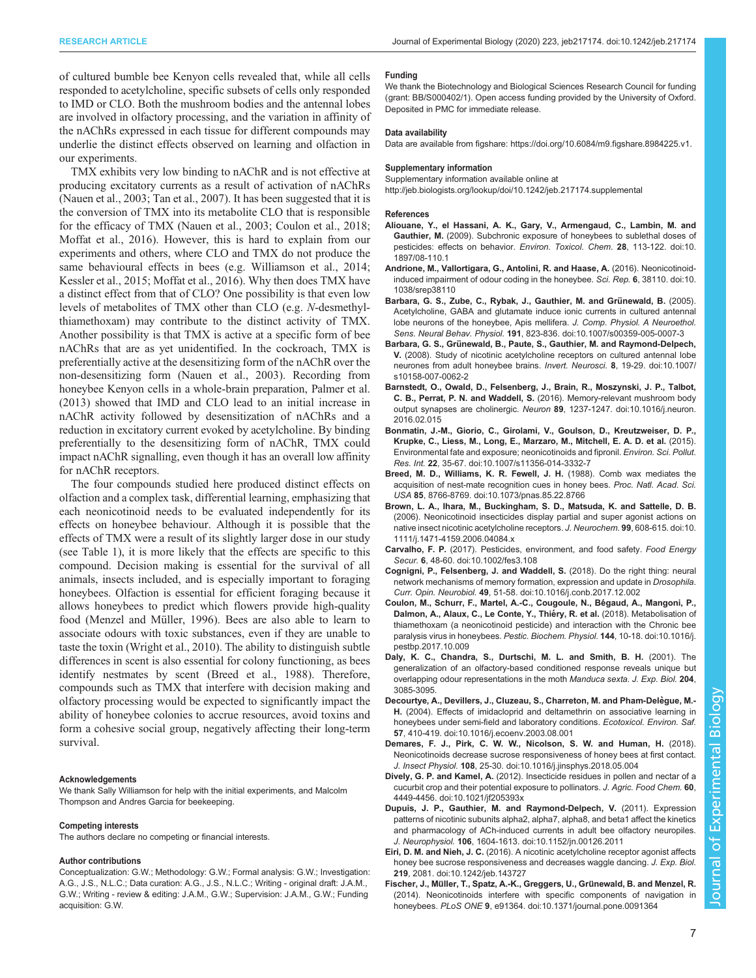<span id="page-7-0"></span>of cultured bumble bee Kenyon cells revealed that, while all cells responded to acetylcholine, specific subsets of cells only responded to IMD or CLO. Both the mushroom bodies and the antennal lobes are involved in olfactory processing, and the variation in affinity of the nAChRs expressed in each tissue for different compounds may underlie the distinct effects observed on learning and olfaction in our experiments.

TMX exhibits very low binding to nAChR and is not effective at producing excitatory currents as a result of activation of nAChRs [\(Nauen et al., 2003](#page-8-0); [Tan et al., 2007\)](#page-8-0). It has been suggested that it is the conversion of TMX into its metabolite CLO that is responsible for the efficacy of TMX ([Nauen et al., 2003;](#page-8-0) Coulon et al., 2018; [Moffat et al., 2016](#page-8-0)). However, this is hard to explain from our experiments and others, where CLO and TMX do not produce the same behavioural effects in bees (e.g. [Williamson et al., 2014](#page-8-0); [Kessler et al., 2015; Moffat et al., 2016\)](#page-8-0). Why then does TMX have a distinct effect from that of CLO? One possibility is that even low levels of metabolites of TMX other than CLO (e.g. N-desmethylthiamethoxam) may contribute to the distinct activity of TMX. Another possibility is that TMX is active at a specific form of bee nAChRs that are as yet unidentified. In the cockroach, TMX is preferentially active at the desensitizing form of the nAChR over the non-desensitizing form [\(Nauen et al., 2003](#page-8-0)). Recording from honeybee Kenyon cells in a whole-brain preparation, [Palmer et al.](#page-8-0) [\(2013\)](#page-8-0) showed that IMD and CLO lead to an initial increase in nAChR activity followed by desensitization of nAChRs and a reduction in excitatory current evoked by acetylcholine. By binding preferentially to the desensitizing form of nAChR, TMX could impact nAChR signalling, even though it has an overall low affinity for nAChR receptors.

The four compounds studied here produced distinct effects on olfaction and a complex task, differential learning, emphasizing that each neonicotinoid needs to be evaluated independently for its effects on honeybee behaviour. Although it is possible that the effects of TMX were a result of its slightly larger dose in our study (see [Table 1\)](#page-2-0), it is more likely that the effects are specific to this compound. Decision making is essential for the survival of all animals, insects included, and is especially important to foraging honeybees. Olfaction is essential for efficient foraging because it allows honeybees to predict which flowers provide high-quality food [\(Menzel and Müller, 1996](#page-8-0)). Bees are also able to learn to associate odours with toxic substances, even if they are unable to taste the toxin ([Wright et al., 2010\)](#page-8-0). The ability to distinguish subtle differences in scent is also essential for colony functioning, as bees identify nestmates by scent (Breed et al., 1988). Therefore, compounds such as TMX that interfere with decision making and olfactory processing would be expected to significantly impact the ability of honeybee colonies to accrue resources, avoid toxins and form a cohesive social group, negatively affecting their long-term survival.

#### Acknowledgements

We thank Sally Williamson for help with the initial experiments, and Malcolm Thompson and Andres Garcia for beekeeping.

#### Competing interests

The authors declare no competing or financial interests.

#### Author contributions

Conceptualization: G.W.; Methodology: G.W.; Formal analysis: G.W.; Investigation: A.G., J.S., N.L.C.; Data curation: A.G., J.S., N.L.C.; Writing - original draft: J.A.M., G.W.; Writing - review & editing: J.A.M., G.W.; Supervision: J.A.M., G.W.; Funding acquisition: G.W.

#### Funding

We thank the Biotechnology and Biological Sciences Research Council for funding (grant: BB/S000402/1). Open access funding provided by the University of Oxford. Deposited in PMC for immediate release.

#### Data availability

Data are available from figshare: [https://doi.org/10.6084/m9.figshare.8984225.v1.](https://doi.org/10.6084/m9.figshare.8984225.v1)

#### Supplementary information

Supplementary information available online at

<http://jeb.biologists.org/lookup/doi/10.1242/jeb.217174.supplemental>

#### References

- [Aliouane, Y., el Hassani, A. K., Gary, V., Armengaud, C., Lambin, M. and](https://doi.org/10.1897/08-110.1) Gauthier, M. [\(2009\). Subchronic exposure of honeybees to sublethal doses of](https://doi.org/10.1897/08-110.1) [pesticides: effects on behavior.](https://doi.org/10.1897/08-110.1) Environ. Toxicol. Chem. 28, 113-122. doi:10. [1897/08-110.1](https://doi.org/10.1897/08-110.1)
- [Andrione, M., Vallortigara, G., Antolini, R. and Haase, A.](https://doi.org/10.1038/srep38110) (2016). Neonicotinoid[induced impairment of odour coding in the honeybee.](https://doi.org/10.1038/srep38110) Sci. Rep. 6, 38110. doi:10. [1038/srep38110](https://doi.org/10.1038/srep38110)
- Barbara, G. S., Zube, C., Rybak, J., Gauthier, M. and Grünewald, B. (2005). [Acetylcholine, GABA and glutamate induce ionic currents in cultured antennal](https://doi.org/10.1007/s00359-005-0007-3) [lobe neurons of the honeybee, Apis mellifera.](https://doi.org/10.1007/s00359-005-0007-3) J. Comp. Physiol. A Neuroethol. Sens. Neural Behav. Physiol. 191[, 823-836. doi:10.1007/s00359-005-0007-3](https://doi.org/10.1007/s00359-005-0007-3)
- Barbara, G. S., Grü[newald, B., Paute, S., Gauthier, M. and Raymond-Delpech,](https://doi.org/10.1007/s10158-007-0062-2) V. [\(2008\). Study of nicotinic acetylcholine receptors on cultured antennal lobe](https://doi.org/10.1007/s10158-007-0062-2) [neurones from adult honeybee brains.](https://doi.org/10.1007/s10158-007-0062-2) Invert. Neurosci. 8, 19-29. doi:10.1007/ [s10158-007-0062-2](https://doi.org/10.1007/s10158-007-0062-2)
- [Barnstedt, O., Owald, D., Felsenberg, J., Brain, R., Moszynski, J. P., Talbot,](https://doi.org/10.1016/j.neuron.2016.02.015) C. B., Perrat, P. N. and Waddell, S. [\(2016\). Memory-relevant mushroom body](https://doi.org/10.1016/j.neuron.2016.02.015) output synapses are cholinergic. Neuron 89[, 1237-1247. doi:10.1016/j.neuron.](https://doi.org/10.1016/j.neuron.2016.02.015) [2016.02.015](https://doi.org/10.1016/j.neuron.2016.02.015)
- [Bonmatin, J.-M., Giorio, C., Girolami, V., Goulson, D., Kreutzweiser, D. P.,](https://doi.org/10.1007/s11356-014-3332-7) [Krupke, C., Liess, M., Long, E., Marzaro, M., Mitchell, E. A. D. et al.](https://doi.org/10.1007/s11356-014-3332-7) (2015). [Environmental fate and exposure; neonicotinoids and fipronil.](https://doi.org/10.1007/s11356-014-3332-7) Environ. Sci. Pollut. Res. Int. 22[, 35-67. doi:10.1007/s11356-014-3332-7](https://doi.org/10.1007/s11356-014-3332-7)
- [Breed, M. D., Williams, K. R. Fewell, J. H.](https://doi.org/10.1073/pnas.85.22.8766) (1988). Comb wax mediates the [acquisition of nest-mate recognition cues in honey bees.](https://doi.org/10.1073/pnas.85.22.8766) Proc. Natl. Acad. Sci. USA 85[, 8766-8769. doi:10.1073/pnas.85.22.8766](https://doi.org/10.1073/pnas.85.22.8766)
- [Brown, L. A., Ihara, M., Buckingham, S. D., Matsuda, K. and Sattelle, D. B.](https://doi.org/10.1111/j.1471-4159.2006.04084.x) [\(2006\). Neonicotinoid insecticides display partial and super agonist actions on](https://doi.org/10.1111/j.1471-4159.2006.04084.x) [native insect nicotinic acetylcholine receptors.](https://doi.org/10.1111/j.1471-4159.2006.04084.x) J. Neurochem. 99, 608-615. doi:10. [1111/j.1471-4159.2006.04084.x](https://doi.org/10.1111/j.1471-4159.2006.04084.x)
- Carvalho, F. P. [\(2017\). Pesticides, environment, and food safety.](https://doi.org/10.1002/fes3.108) Food Energy Secur. 6[, 48-60. doi:10.1002/fes3.108](https://doi.org/10.1002/fes3.108)
- [Cognigni, P., Felsenberg, J. and Waddell, S.](https://doi.org/10.1016/j.conb.2017.12.002) (2018). Do the right thing: neural [network mechanisms of memory formation, expression and update in](https://doi.org/10.1016/j.conb.2017.12.002) Drosophila. Curr. Opin. Neurobiol. 49[, 51-58. doi:10.1016/j.conb.2017.12.002](https://doi.org/10.1016/j.conb.2017.12.002)
- [Coulon, M., Schurr, F., Martel, A.-C., Cougoule, N., Be](https://doi.org/10.1016/j.pestbp.2017.10.009)́gaud, A., Mangoni, P., Dalmon, A., Alaux, C., Le Conte, Y., Thiéry, R. et al. (2018). Metabolisation of [thiamethoxam \(a neonicotinoid pesticide\) and interaction with the Chronic bee](https://doi.org/10.1016/j.pestbp.2017.10.009) [paralysis virus in honeybees.](https://doi.org/10.1016/j.pestbp.2017.10.009) Pestic. Biochem. Physiol. 144, 10-18. doi:10.1016/j. [pestbp.2017.10.009](https://doi.org/10.1016/j.pestbp.2017.10.009)
- Daly, K. C., Chandra, S., Durtschi, M. L. and Smith, B. H. (2001). The generalization of an olfactory-based conditioned response reveals unique but overlapping odour representations in the moth Manduca sexta. J. Exp. Biol. 204, 3085-3095.
- Decourtye, A., Devillers, J., Cluzeau, S., Charreton, M. and Pham-Delègue, M.-H. [\(2004\). Effects of imidacloprid and deltamethrin on associative learning in](https://doi.org/10.1016/j.ecoenv.2003.08.001) [honeybees under semi-field and laboratory conditions.](https://doi.org/10.1016/j.ecoenv.2003.08.001) Ecotoxicol. Environ. Saf. 57[, 410-419. doi:10.1016/j.ecoenv.2003.08.001](https://doi.org/10.1016/j.ecoenv.2003.08.001)
- [Demares, F. J., Pirk, C. W. W., Nicolson, S. W. and Human, H.](https://doi.org/10.1016/j.jinsphys.2018.05.004) (2018). [Neonicotinoids decrease sucrose responsiveness of honey bees at first contact.](https://doi.org/10.1016/j.jinsphys.2018.05.004) J. Insect Physiol. 108[, 25-30. doi:10.1016/j.jinsphys.2018.05.004](https://doi.org/10.1016/j.jinsphys.2018.05.004)
- Dively, G. P. and Kamel, A. [\(2012\). Insecticide residues in pollen and nectar of a](https://doi.org/10.1021/jf205393x) [cucurbit crop and their potential exposure to pollinators.](https://doi.org/10.1021/jf205393x) J. Agric. Food Chem. 60, [4449-4456. doi:10.1021/jf205393x](https://doi.org/10.1021/jf205393x)
- [Dupuis, J. P., Gauthier, M. and Raymond-Delpech, V.](https://doi.org/10.1152/jn.00126.2011) (2011). Expression [patterns of nicotinic subunits alpha2, alpha7, alpha8, and beta1 affect the kinetics](https://doi.org/10.1152/jn.00126.2011) [and pharmacology of ACh-induced currents in adult bee olfactory neuropiles.](https://doi.org/10.1152/jn.00126.2011) J. Neurophysiol. 106[, 1604-1613. doi:10.1152/jn.00126.2011](https://doi.org/10.1152/jn.00126.2011)
- Eiri, D. M. and Nieh, J. C. [\(2016\). A nicotinic acetylcholine receptor agonist affects](https://doi.org/10.1242/jeb.143727) [honey bee sucrose responsiveness and decreases waggle dancing.](https://doi.org/10.1242/jeb.143727) J. Exp. Biol. 219[, 2081. doi:10.1242/jeb.143727](https://doi.org/10.1242/jeb.143727)
- Fischer, J., Müller, T., Spatz, A.-K., Greggers, U., Grünewald, B. and Menzel, R. [\(2014\). Neonicotinoids interfere with specific components of navigation in](https://doi.org/10.1371/journal.pone.0091364) honeybees. PLoS ONE 9[, e91364. doi:10.1371/journal.pone.0091364](https://doi.org/10.1371/journal.pone.0091364)